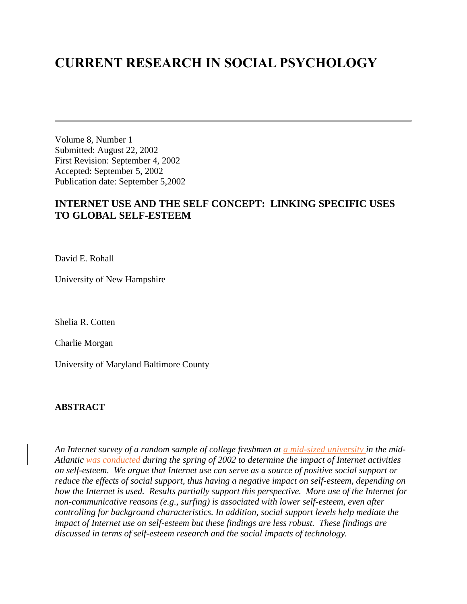## **CURRENT RESEARCH IN SOCIAL PSYCHOLOGY**

Volume 8, Number 1 Submitted: August 22, 2002 First Revision: September 4, 2002 Accepted: September 5, 2002 Publication date: September 5,2002

### **INTERNET USE AND THE SELF CONCEPT: LINKING SPECIFIC USES TO GLOBAL SELF-ESTEEM**

David E. Rohall

University of New Hampshire

Shelia R. Cotten

Charlie Morgan

University of Maryland Baltimore County

#### **ABSTRACT**

*An Internet survey of a random sample of college freshmen at a mid-sized university in the mid-Atlantic was conducted during the spring of 2002 to determine the impact of Internet activities on self-esteem. We argue that Internet use can serve as a source of positive social support or reduce the effects of social support, thus having a negative impact on self-esteem, depending on how the Internet is used. Results partially support this perspective. More use of the Internet for non-communicative reasons (e.g., surfing) is associated with lower self-esteem, even after controlling for background characteristics. In addition, social support levels help mediate the impact of Internet use on self-esteem but these findings are less robust. These findings are discussed in terms of self-esteem research and the social impacts of technology.*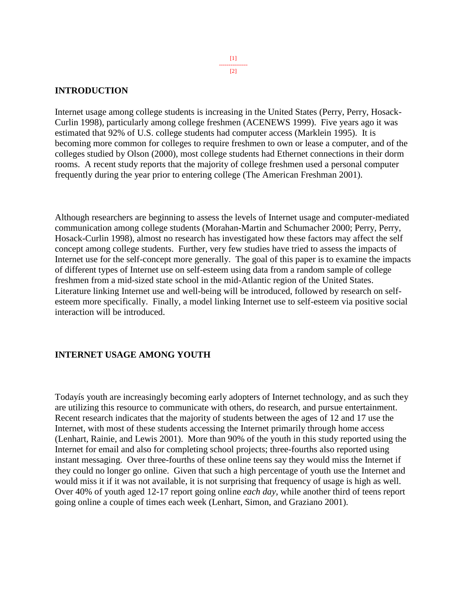#### [1] --------------- [2]

#### **INTRODUCTION**

Internet usage among college students is increasing in the United States (Perry, Perry, Hosack-Curlin 1998), particularly among college freshmen (ACENEWS 1999). Five years ago it was estimated that 92% of U.S. college students had computer access (Marklein 1995). It is becoming more common for colleges to require freshmen to own or lease a computer, and of the colleges studied by Olson (2000), most college students had Ethernet connections in their dorm rooms. A recent study reports that the majority of college freshmen used a personal computer frequently during the year prior to entering college (The American Freshman 2001).

Although researchers are beginning to assess the levels of Internet usage and computer-mediated communication among college students (Morahan-Martin and Schumacher 2000; Perry, Perry, Hosack-Curlin 1998), almost no research has investigated how these factors may affect the self concept among college students. Further, very few studies have tried to assess the impacts of Internet use for the self-concept more generally. The goal of this paper is to examine the impacts of different types of Internet use on self-esteem using data from a random sample of college freshmen from a mid-sized state school in the mid-Atlantic region of the United States. Literature linking Internet use and well-being will be introduced, followed by research on selfesteem more specifically. Finally, a model linking Internet use to self-esteem via positive social interaction will be introduced.

#### **INTERNET USAGE AMONG YOUTH**

Todayís youth are increasingly becoming early adopters of Internet technology, and as such they are utilizing this resource to communicate with others, do research, and pursue entertainment. Recent research indicates that the majority of students between the ages of 12 and 17 use the Internet, with most of these students accessing the Internet primarily through home access (Lenhart, Rainie, and Lewis 2001). More than 90% of the youth in this study reported using the Internet for email and also for completing school projects; three-fourths also reported using instant messaging. Over three-fourths of these online teens say they would miss the Internet if they could no longer go online. Given that such a high percentage of youth use the Internet and would miss it if it was not available, it is not surprising that frequency of usage is high as well. Over 40% of youth aged 12-17 report going online *each day*, while another third of teens report going online a couple of times each week (Lenhart, Simon, and Graziano 2001).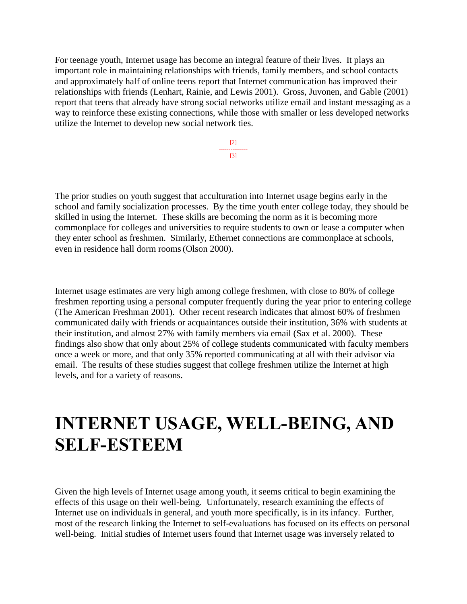For teenage youth, Internet usage has become an integral feature of their lives. It plays an important role in maintaining relationships with friends, family members, and school contacts and approximately half of online teens report that Internet communication has improved their relationships with friends (Lenhart, Rainie, and Lewis 2001). Gross, Juvonen, and Gable (2001) report that teens that already have strong social networks utilize email and instant messaging as a way to reinforce these existing connections, while those with smaller or less developed networks utilize the Internet to develop new social network ties.

> [2] --------------- [3]

The prior studies on youth suggest that acculturation into Internet usage begins early in the school and family socialization processes. By the time youth enter college today, they should be skilled in using the Internet. These skills are becoming the norm as it is becoming more commonplace for colleges and universities to require students to own or lease a computer when they enter school as freshmen. Similarly, Ethernet connections are commonplace at schools, even in residence hall dorm rooms(Olson 2000).

Internet usage estimates are very high among college freshmen, with close to 80% of college freshmen reporting using a personal computer frequently during the year prior to entering college (The American Freshman 2001). Other recent research indicates that almost 60% of freshmen communicated daily with friends or acquaintances outside their institution, 36% with students at their institution, and almost 27% with family members via email (Sax et al. 2000). These findings also show that only about 25% of college students communicated with faculty members once a week or more, and that only 35% reported communicating at all with their advisor via email. The results of these studies suggest that college freshmen utilize the Internet at high levels, and for a variety of reasons.

# **INTERNET USAGE, WELL-BEING, AND SELF-ESTEEM**

Given the high levels of Internet usage among youth, it seems critical to begin examining the effects of this usage on their well-being. Unfortunately, research examining the effects of Internet use on individuals in general, and youth more specifically, is in its infancy. Further, most of the research linking the Internet to self-evaluations has focused on its effects on personal well-being. Initial studies of Internet users found that Internet usage was inversely related to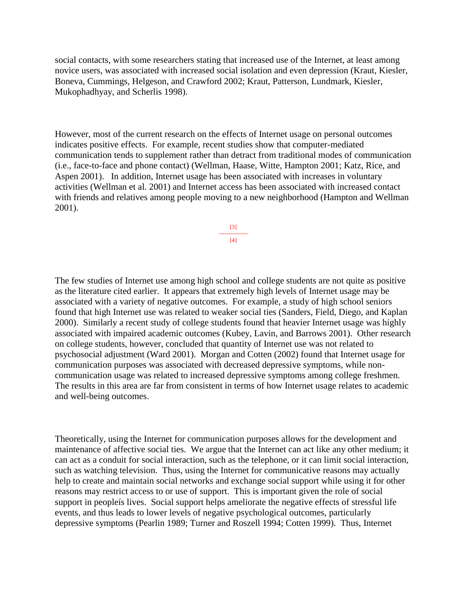social contacts, with some researchers stating that increased use of the Internet, at least among novice users, was associated with increased social isolation and even depression (Kraut, Kiesler, Boneva, Cummings, Helgeson, and Crawford 2002; Kraut, Patterson, Lundmark, Kiesler, Mukophadhyay, and Scherlis 1998).

However, most of the current research on the effects of Internet usage on personal outcomes indicates positive effects. For example, recent studies show that computer-mediated communication tends to supplement rather than detract from traditional modes of communication (i.e., face-to-face and phone contact) (Wellman, Haase, Witte, Hampton 2001; Katz, Rice, and Aspen 2001). In addition, Internet usage has been associated with increases in voluntary activities (Wellman et al. 2001) and Internet access has been associated with increased contact with friends and relatives among people moving to a new neighborhood (Hampton and Wellman 2001).

> [3] --------------- [4]

The few studies of Internet use among high school and college students are not quite as positive as the literature cited earlier. It appears that extremely high levels of Internet usage may be associated with a variety of negative outcomes. For example, a study of high school seniors found that high Internet use was related to weaker social ties (Sanders, Field, Diego, and Kaplan 2000). Similarly a recent study of college students found that heavier Internet usage was highly associated with impaired academic outcomes (Kubey, Lavin, and Barrows 2001). Other research on college students, however, concluded that quantity of Internet use was not related to psychosocial adjustment (Ward 2001). Morgan and Cotten (2002) found that Internet usage for communication purposes was associated with decreased depressive symptoms, while noncommunication usage was related to increased depressive symptoms among college freshmen. The results in this area are far from consistent in terms of how Internet usage relates to academic and well-being outcomes.

Theoretically, using the Internet for communication purposes allows for the development and maintenance of affective social ties. We argue that the Internet can act like any other medium; it can act as a conduit for social interaction, such as the telephone, or it can limit social interaction, such as watching television. Thus, using the Internet for communicative reasons may actually help to create and maintain social networks and exchange social support while using it for other reasons may restrict access to or use of support. This is important given the role of social support in peopleís lives. Social support helps ameliorate the negative effects of stressful life events, and thus leads to lower levels of negative psychological outcomes, particularly depressive symptoms (Pearlin 1989; Turner and Roszell 1994; Cotten 1999). Thus, Internet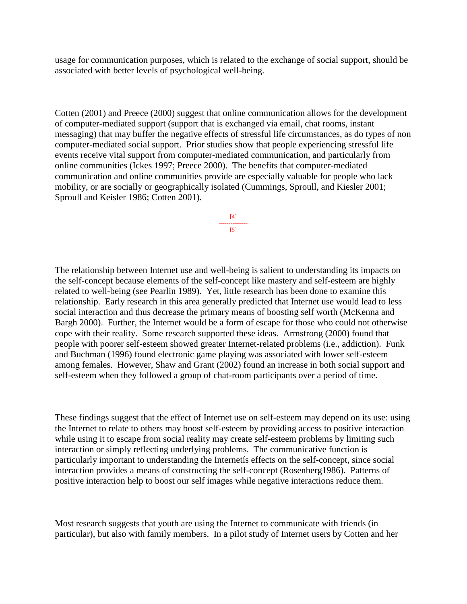usage for communication purposes, which is related to the exchange of social support, should be associated with better levels of psychological well-being.

Cotten (2001) and Preece (2000) suggest that online communication allows for the development of computer-mediated support (support that is exchanged via email, chat rooms, instant messaging) that may buffer the negative effects of stressful life circumstances, as do types of non computer-mediated social support. Prior studies show that people experiencing stressful life events receive vital support from computer-mediated communication, and particularly from online communities (Ickes 1997; Preece 2000). The benefits that computer-mediated communication and online communities provide are especially valuable for people who lack mobility, or are socially or geographically isolated (Cummings, Sproull, and Kiesler 2001; Sproull and Keisler 1986; Cotten 2001).

> [4] --------------- [5]

The relationship between Internet use and well-being is salient to understanding its impacts on the self-concept because elements of the self-concept like mastery and self-esteem are highly related to well-being (see Pearlin 1989). Yet, little research has been done to examine this relationship. Early research in this area generally predicted that Internet use would lead to less social interaction and thus decrease the primary means of boosting self worth (McKenna and Bargh 2000). Further, the Internet would be a form of escape for those who could not otherwise cope with their reality. Some research supported these ideas. Armstrong (2000) found that people with poorer self-esteem showed greater Internet-related problems (i.e., addiction). Funk and Buchman (1996) found electronic game playing was associated with lower self-esteem among females. However, Shaw and Grant (2002) found an increase in both social support and self-esteem when they followed a group of chat-room participants over a period of time.

These findings suggest that the effect of Internet use on self-esteem may depend on its use: using the Internet to relate to others may boost self-esteem by providing access to positive interaction while using it to escape from social reality may create self-esteem problems by limiting such interaction or simply reflecting underlying problems. The communicative function is particularly important to understanding the Internetís effects on the self-concept, since social interaction provides a means of constructing the self-concept (Rosenberg1986). Patterns of positive interaction help to boost our self images while negative interactions reduce them.

Most research suggests that youth are using the Internet to communicate with friends (in particular), but also with family members. In a pilot study of Internet users by Cotten and her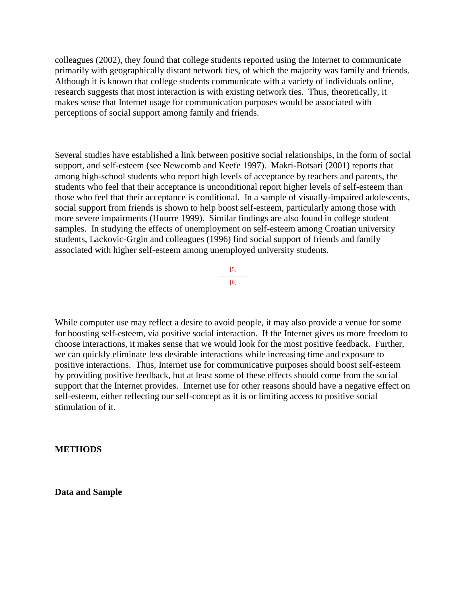colleagues (2002), they found that college students reported using the Internet to communicate primarily with geographically distant network ties, of which the majority was family and friends. Although it is known that college students communicate with a variety of individuals online, research suggests that most interaction is with existing network ties. Thus, theoretically, it makes sense that Internet usage for communication purposes would be associated with perceptions of social support among family and friends.

Several studies have established a link between positive social relationships, in the form of social support, and self-esteem (see Newcomb and Keefe 1997). Makri-Botsari (2001) reports that among high-school students who report high levels of acceptance by teachers and parents, the students who feel that their acceptance is unconditional report higher levels of self-esteem than those who feel that their acceptance is conditional. In a sample of visually-impaired adolescents, social support from friends is shown to help boost self-esteem, particularly among those with more severe impairments (Huurre 1999). Similar findings are also found in college student samples. In studying the effects of unemployment on self-esteem among Croatian university students, Lackovic-Grgin and colleagues (1996) find social support of friends and family associated with higher self-esteem among unemployed university students.

> [5] --------------- [6]

While computer use may reflect a desire to avoid people, it may also provide a venue for some for boosting self-esteem, via positive social interaction. If the Internet gives us more freedom to choose interactions, it makes sense that we would look for the most positive feedback. Further, we can quickly eliminate less desirable interactions while increasing time and exposure to positive interactions. Thus, Internet use for communicative purposes should boost self-esteem by providing positive feedback, but at least some of these effects should come from the social support that the Internet provides. Internet use for other reasons should have a negative effect on self-esteem, either reflecting our self-concept as it is or limiting access to positive social stimulation of it.

**METHODS**

**Data and Sample**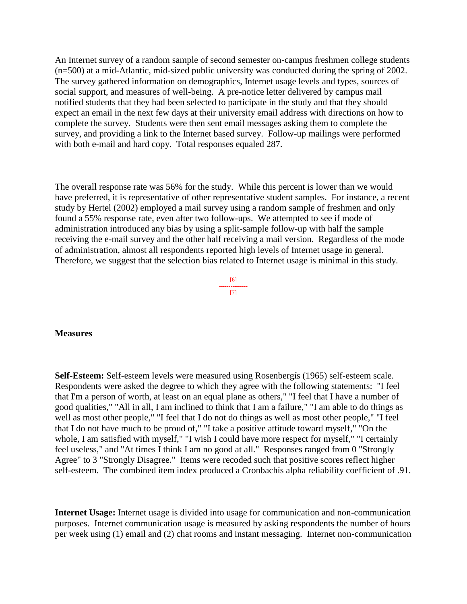An Internet survey of a random sample of second semester on-campus freshmen college students (n=500) at a mid-Atlantic, mid-sized public university was conducted during the spring of 2002. The survey gathered information on demographics, Internet usage levels and types, sources of social support, and measures of well-being. A pre-notice letter delivered by campus mail notified students that they had been selected to participate in the study and that they should expect an email in the next few days at their university email address with directions on how to complete the survey. Students were then sent email messages asking them to complete the survey, and providing a link to the Internet based survey. Follow-up mailings were performed with both e-mail and hard copy. Total responses equaled 287.

The overall response rate was 56% for the study. While this percent is lower than we would have preferred, it is representative of other representative student samples. For instance, a recent study by Hertel (2002) employed a mail survey using a random sample of freshmen and only found a 55% response rate, even after two follow-ups. We attempted to see if mode of administration introduced any bias by using a split-sample follow-up with half the sample receiving the e-mail survey and the other half receiving a mail version. Regardless of the mode of administration, almost all respondents reported high levels of Internet usage in general. Therefore, we suggest that the selection bias related to Internet usage is minimal in this study.



#### **Measures**

**Self-Esteem:** Self-esteem levels were measured using Rosenbergís (1965) self-esteem scale. Respondents were asked the degree to which they agree with the following statements: "I feel that I'm a person of worth, at least on an equal plane as others," "I feel that I have a number of good qualities," "All in all, I am inclined to think that I am a failure," "I am able to do things as well as most other people," "I feel that I do not do things as well as most other people," "I feel that I do not have much to be proud of," "I take a positive attitude toward myself," "On the whole, I am satisfied with myself," "I wish I could have more respect for myself," "I certainly feel useless," and "At times I think I am no good at all." Responses ranged from 0 "Strongly Agree" to 3 "Strongly Disagree." Items were recoded such that positive scores reflect higher self-esteem. The combined item index produced a Cronbachís alpha reliability coefficient of .91.

**Internet Usage:** Internet usage is divided into usage for communication and non-communication purposes. Internet communication usage is measured by asking respondents the number of hours per week using (1) email and (2) chat rooms and instant messaging. Internet non-communication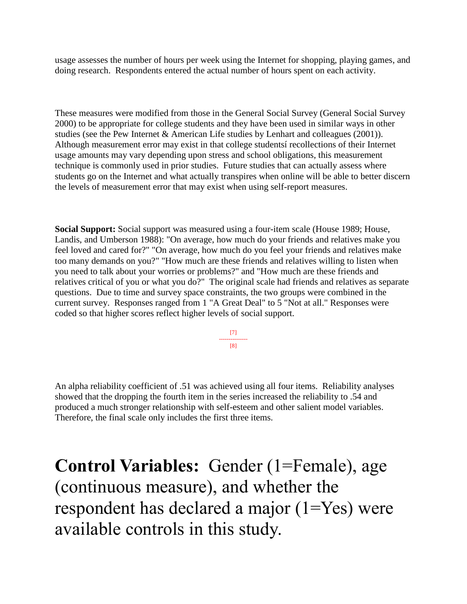usage assesses the number of hours per week using the Internet for shopping, playing games, and doing research. Respondents entered the actual number of hours spent on each activity.

These measures were modified from those in the General Social Survey (General Social Survey 2000) to be appropriate for college students and they have been used in similar ways in other studies (see the Pew Internet & American Life studies by Lenhart and colleagues (2001)). Although measurement error may exist in that college studentsí recollections of their Internet usage amounts may vary depending upon stress and school obligations, this measurement technique is commonly used in prior studies. Future studies that can actually assess where students go on the Internet and what actually transpires when online will be able to better discern the levels of measurement error that may exist when using self-report measures.

**Social Support:** Social support was measured using a four-item scale (House 1989; House, Landis, and Umberson 1988): "On average, how much do your friends and relatives make you feel loved and cared for?" "On average, how much do you feel your friends and relatives make too many demands on you?" "How much are these friends and relatives willing to listen when you need to talk about your worries or problems?" and "How much are these friends and relatives critical of you or what you do?" The original scale had friends and relatives as separate questions. Due to time and survey space constraints, the two groups were combined in the current survey. Responses ranged from 1 "A Great Deal" to 5 "Not at all." Responses were coded so that higher scores reflect higher levels of social support.

> [7] --------------- [8]

An alpha reliability coefficient of .51 was achieved using all four items. Reliability analyses showed that the dropping the fourth item in the series increased the reliability to .54 and produced a much stronger relationship with self-esteem and other salient model variables. Therefore, the final scale only includes the first three items.

**Control Variables:** Gender (1=Female), age (continuous measure), and whether the respondent has declared a major (1=Yes) were available controls in this study.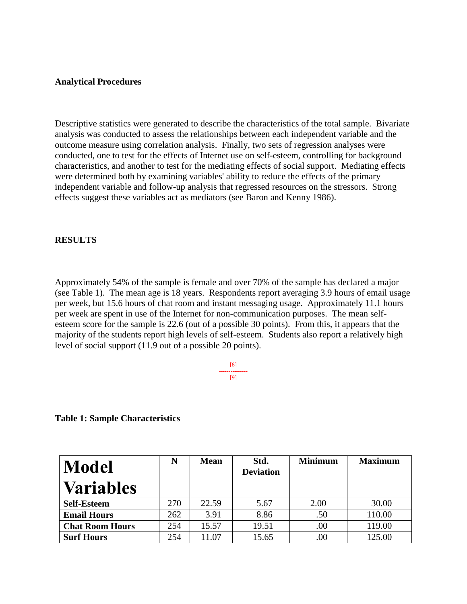#### **Analytical Procedures**

Descriptive statistics were generated to describe the characteristics of the total sample. Bivariate analysis was conducted to assess the relationships between each independent variable and the outcome measure using correlation analysis. Finally, two sets of regression analyses were conducted, one to test for the effects of Internet use on self-esteem, controlling for background characteristics, and another to test for the mediating effects of social support. Mediating effects were determined both by examining variables' ability to reduce the effects of the primary independent variable and follow-up analysis that regressed resources on the stressors. Strong effects suggest these variables act as mediators (see Baron and Kenny 1986).

#### **RESULTS**

Approximately 54% of the sample is female and over 70% of the sample has declared a major (see Table 1). The mean age is 18 years. Respondents report averaging 3.9 hours of email usage per week, but 15.6 hours of chat room and instant messaging usage. Approximately 11.1 hours per week are spent in use of the Internet for non-communication purposes. The mean selfesteem score for the sample is 22.6 (out of a possible 30 points). From this, it appears that the majority of the students report high levels of self-esteem. Students also report a relatively high level of social support (11.9 out of a possible 20 points).

> [8] --------------- [9]

**Table 1: Sample Characteristics** 

| <b>Model</b>           | N   | <b>Mean</b> | Std.<br><b>Deviation</b> | <b>Minimum</b> | <b>Maximum</b> |
|------------------------|-----|-------------|--------------------------|----------------|----------------|
| <b>Variables</b>       |     |             |                          |                |                |
| <b>Self-Esteem</b>     | 270 | 22.59       | 5.67                     | 2.00           | 30.00          |
| <b>Email Hours</b>     | 262 | 3.91        | 8.86                     | .50            | 110.00         |
| <b>Chat Room Hours</b> | 254 | 15.57       | 19.51                    | .00            | 119.00         |
| <b>Surf Hours</b>      | 254 | 11.07       | 15.65                    | .00            | 125.00         |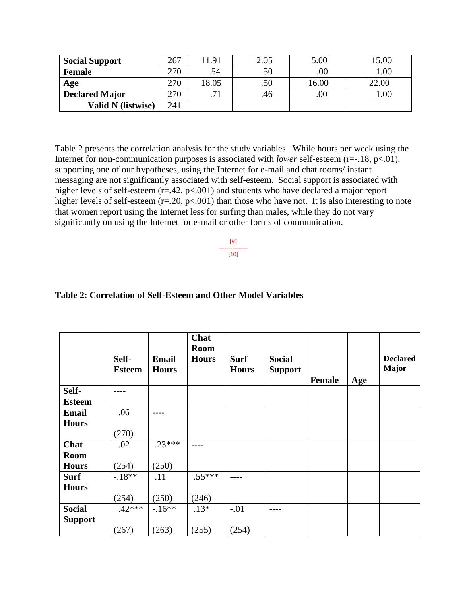| <b>Social Support</b>     | 267 | 1.91 | 2.05 | 5.00    | 5.00  |
|---------------------------|-----|------|------|---------|-------|
| <b>Female</b>             | 270 | .54  | .50  | .00     | 1.00  |
| Age                       | 270 | 8.05 | .50  | 16.00   | 22.00 |
| <b>Declared Major</b>     | 270 | 71   | .46  | $.00\,$ | 00.1  |
| <b>Valid N</b> (listwise) | 241 |      |      |         |       |

Table 2 presents the correlation analysis for the study variables. While hours per week using the Internet for non-communication purposes is associated with *lower* self-esteem (r=-.18, p<.01), supporting one of our hypotheses, using the Internet for e-mail and chat rooms/ instant messaging are not significantly associated with self-esteem. Social support is associated with higher levels of self-esteem (r=.42, p<.001) and students who have declared a major report higher levels of self-esteem (r=.20, p<.001) than those who have not. It is also interesting to note that women report using the Internet less for surfing than males, while they do not vary significantly on using the Internet for e-mail or other forms of communication.

> [9] --------------- [10]

#### **Table 2: Correlation of Self-Esteem and Other Model Variables**

|                | Self-<br><b>Esteem</b> | <b>Email</b><br><b>Hours</b> | Chat<br><b>Room</b><br><b>Hours</b> | <b>Surf</b><br><b>Hours</b> | <b>Social</b><br><b>Support</b> | <b>Female</b> | Age | <b>Declared</b><br><b>Major</b> |
|----------------|------------------------|------------------------------|-------------------------------------|-----------------------------|---------------------------------|---------------|-----|---------------------------------|
| Self-          |                        |                              |                                     |                             |                                 |               |     |                                 |
| <b>Esteem</b>  |                        |                              |                                     |                             |                                 |               |     |                                 |
| <b>Email</b>   | .06                    |                              |                                     |                             |                                 |               |     |                                 |
| <b>Hours</b>   |                        |                              |                                     |                             |                                 |               |     |                                 |
|                | (270)                  |                              |                                     |                             |                                 |               |     |                                 |
| Chat           | .02                    | $.23***$                     |                                     |                             |                                 |               |     |                                 |
| <b>Room</b>    |                        |                              |                                     |                             |                                 |               |     |                                 |
| <b>Hours</b>   | (254)                  | (250)                        |                                     |                             |                                 |               |     |                                 |
| <b>Surf</b>    | $-.18**$               | .11                          | $.55***$                            |                             |                                 |               |     |                                 |
| <b>Hours</b>   |                        |                              |                                     |                             |                                 |               |     |                                 |
|                | (254)                  | (250)                        | (246)                               |                             |                                 |               |     |                                 |
| <b>Social</b>  | $.42***$               | $-.16**$                     | $.13*$                              | $-.01$                      |                                 |               |     |                                 |
| <b>Support</b> |                        |                              |                                     |                             |                                 |               |     |                                 |
|                | (267)                  | (263)                        | (255)                               | (254)                       |                                 |               |     |                                 |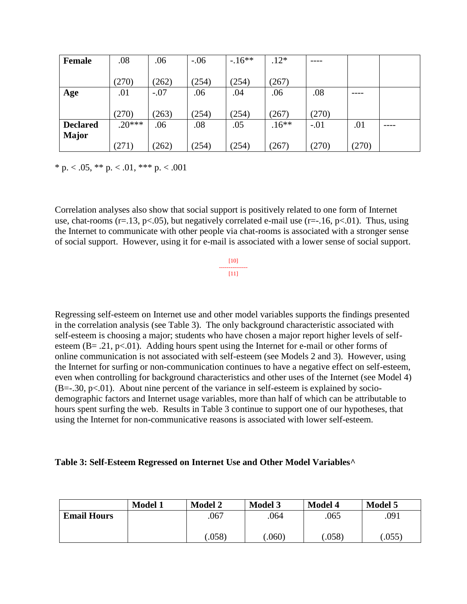| <b>Female</b>   | .08      | .06    | $-.06$ | $-16**$ | $.12*$  |        |       |  |
|-----------------|----------|--------|--------|---------|---------|--------|-------|--|
|                 |          |        |        |         |         |        |       |  |
|                 | (270)    | (262)  | (254)  | (254)   | (267)   |        |       |  |
| Age             | .01      | $-.07$ | .06    | .04     | .06     | .08    | ----  |  |
|                 |          |        |        |         |         |        |       |  |
|                 | (270)    | (263)  | (254)  | (254)   | (267)   | (270)  |       |  |
| <b>Declared</b> | $.20***$ | .06    | .08    | .05     | $.16**$ | $-.01$ | .01   |  |
| <b>Major</b>    |          |        |        |         |         |        |       |  |
|                 | (271)    | (262)  | (254)  | (254)   | (267)   | (270)  | (270) |  |

\* p.  $< .05$ , \*\* p.  $< .01$ , \*\*\* p.  $< .001$ 

Correlation analyses also show that social support is positively related to one form of Internet use, chat-rooms ( $r=13$ ,  $p<05$ ), but negatively correlated e-mail use ( $r=-16$ ,  $p<01$ ). Thus, using the Internet to communicate with other people via chat-rooms is associated with a stronger sense of social support. However, using it for e-mail is associated with a lower sense of social support.

> [10] ---------------  $[11]$

Regressing self-esteem on Internet use and other model variables supports the findings presented in the correlation analysis (see Table 3). The only background characteristic associated with self-esteem is choosing a major; students who have chosen a major report higher levels of selfesteem (B=  $.21$ , p<.01). Adding hours spent using the Internet for e-mail or other forms of online communication is not associated with self-esteem (see Models 2 and 3). However, using the Internet for surfing or non-communication continues to have a negative effect on self-esteem, even when controlling for background characteristics and other uses of the Internet (see Model 4)  $(B=-.30, p<-01)$ . About nine percent of the variance in self-esteem is explained by sociodemographic factors and Internet usage variables, more than half of which can be attributable to hours spent surfing the web. Results in Table 3 continue to support one of our hypotheses, that using the Internet for non-communicative reasons is associated with lower self-esteem.

#### **Table 3: Self-Esteem Regressed on Internet Use and Other Model Variables^**

|                    | <b>Model 1</b> | <b>Model 2</b> | <b>Model 3</b> | <b>Model 4</b> | <b>Model 5</b> |
|--------------------|----------------|----------------|----------------|----------------|----------------|
| <b>Email Hours</b> |                | .067           | .064           | .065           | .091           |
|                    |                |                |                |                |                |
|                    |                | .058)          | .060)          | .058)          | $.055^{\circ}$ |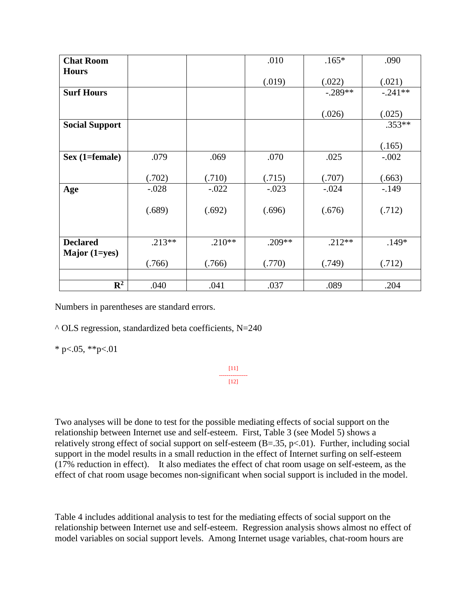| <b>Chat Room</b>      |          |          | .010     | $.165*$   | .090      |
|-----------------------|----------|----------|----------|-----------|-----------|
| <b>Hours</b>          |          |          |          |           |           |
|                       |          |          | (.019)   | (.022)    | (.021)    |
| <b>Surf Hours</b>     |          |          |          | $-.289**$ | $-.241**$ |
|                       |          |          |          |           |           |
|                       |          |          |          | (.026)    | (.025)    |
| <b>Social Support</b> |          |          |          |           | $.353**$  |
|                       |          |          |          |           |           |
|                       |          |          |          |           | (.165)    |
| $Sex (1 = female)$    | .079     | .069     | .070     | .025      | $-.002$   |
|                       |          |          |          |           |           |
|                       | (.702)   | (.710)   | (.715)   | (.707)    | (.663)    |
| Age                   | $-.028$  | $-.022$  | $-.023$  | $-.024$   | $-149$    |
|                       |          |          |          |           |           |
|                       | (.689)   | (.692)   | (.696)   | (.676)    | (.712)    |
|                       |          |          |          |           |           |
|                       |          |          |          |           |           |
| <b>Declared</b>       | $.213**$ | $.210**$ | $.209**$ | $.212**$  | $.149*$   |
| Major (1=yes)         |          |          |          |           |           |
|                       | (.766)   | (.766)   | (.770)   | (.749)    | (.712)    |
|                       |          |          |          |           |           |
| $\mathbf{R}^2$        | .040     | .041     | .037     | .089      | .204      |

Numbers in parentheses are standard errors.

 $\triangle$  OLS regression, standardized beta coefficients, N=240

 $*$  p<.05,  $*$  $*$ p $<$ .01

[11] ---------------  $[12]$ 

Two analyses will be done to test for the possible mediating effects of social support on the relationship between Internet use and self-esteem. First, Table 3 (see Model 5) shows a relatively strong effect of social support on self-esteem  $(B=.35, p<.01)$ . Further, including social support in the model results in a small reduction in the effect of Internet surfing on self-esteem (17% reduction in effect). It also mediates the effect of chat room usage on self-esteem, as the effect of chat room usage becomes non-significant when social support is included in the model.

Table 4 includes additional analysis to test for the mediating effects of social support on the relationship between Internet use and self-esteem. Regression analysis shows almost no effect of model variables on social support levels. Among Internet usage variables, chat-room hours are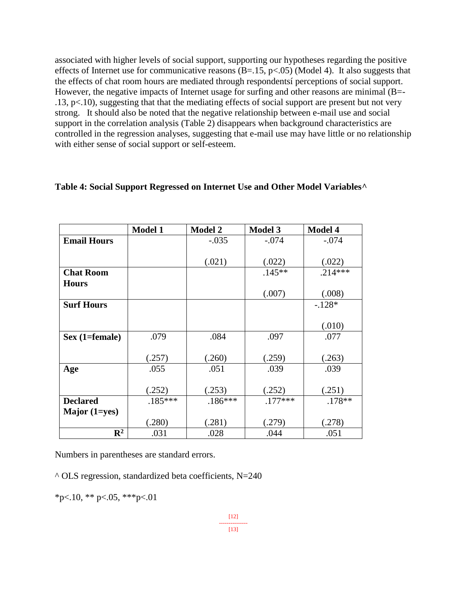associated with higher levels of social support, supporting our hypotheses regarding the positive effects of Internet use for communicative reasons  $(B=.15, p<.05)$  (Model 4). It also suggests that the effects of chat room hours are mediated through respondentsí perceptions of social support. However, the negative impacts of Internet usage for surfing and other reasons are minimal (B=-.13, p<.10), suggesting that that the mediating effects of social support are present but not very strong. It should also be noted that the negative relationship between e-mail use and social support in the correlation analysis (Table 2) disappears when background characteristics are controlled in the regression analyses, suggesting that e-mail use may have little or no relationship with either sense of social support or self-esteem.

| Table 4: Social Support Regressed on Internet Use and Other Model Variables <sup>^</sup> |  |  |
|------------------------------------------------------------------------------------------|--|--|
|                                                                                          |  |  |

|                    | <b>Model 1</b> | <b>Model 2</b> | <b>Model 3</b> | <b>Model 4</b> |
|--------------------|----------------|----------------|----------------|----------------|
| <b>Email Hours</b> |                | $-.035$        | $-.074$        | $-.074$        |
|                    |                |                |                |                |
|                    |                | (.021)         | (.022)         | (.022)         |
| <b>Chat Room</b>   |                |                | $.145**$       | $.214***$      |
| <b>Hours</b>       |                |                |                |                |
|                    |                |                | (.007)         | (.008)         |
| <b>Surf Hours</b>  |                |                |                | $-.128*$       |
|                    |                |                |                |                |
|                    |                |                |                | (.010)         |
| Sex (1=female)     | .079           | .084           | .097           | .077           |
|                    |                |                |                |                |
|                    | (.257)         | (.260)         | (.259)         | (.263)         |
| Age                | .055           | .051           | .039           | .039           |
|                    |                |                |                |                |
|                    | (.252)         | (.253)         | (.252)         | (.251)         |
| <b>Declared</b>    | $.185***$      | $.186***$      | $.177***$      | $.178**$       |
| Major $(1 = yes)$  |                |                |                |                |
|                    | (.280)         | (.281)         | (.279)         | (.278)         |
| $\mathbf{R}^2$     | .031           | .028           | .044           | .051           |

Numbers in parentheses are standard errors.

 $\textdegree$  OLS regression, standardized beta coefficients, N=240

 $*_{p<.10,*}$   $*_{p<.05,*}$   $*_{p<.01}$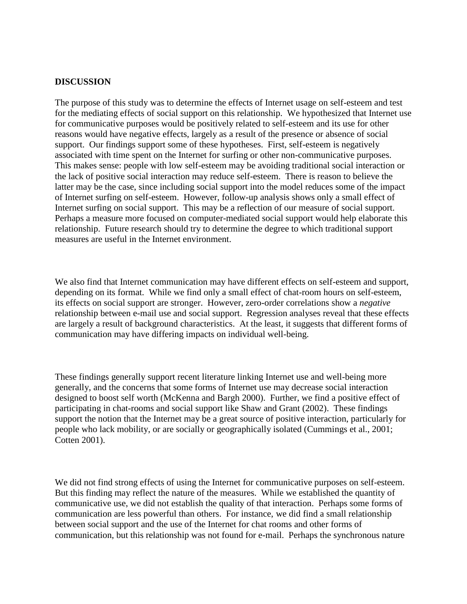#### **DISCUSSION**

The purpose of this study was to determine the effects of Internet usage on self-esteem and test for the mediating effects of social support on this relationship. We hypothesized that Internet use for communicative purposes would be positively related to self-esteem and its use for other reasons would have negative effects, largely as a result of the presence or absence of social support. Our findings support some of these hypotheses. First, self-esteem is negatively associated with time spent on the Internet for surfing or other non-communicative purposes. This makes sense: people with low self-esteem may be avoiding traditional social interaction or the lack of positive social interaction may reduce self-esteem. There is reason to believe the latter may be the case, since including social support into the model reduces some of the impact of Internet surfing on self-esteem. However, follow-up analysis shows only a small effect of Internet surfing on social support. This may be a reflection of our measure of social support. Perhaps a measure more focused on computer-mediated social support would help elaborate this relationship. Future research should try to determine the degree to which traditional support measures are useful in the Internet environment.

We also find that Internet communication may have different effects on self-esteem and support, depending on its format. While we find only a small effect of chat-room hours on self-esteem, its effects on social support are stronger. However, zero-order correlations show a *negative* relationship between e-mail use and social support. Regression analyses reveal that these effects are largely a result of background characteristics. At the least, it suggests that different forms of communication may have differing impacts on individual well-being.

These findings generally support recent literature linking Internet use and well-being more generally, and the concerns that some forms of Internet use may decrease social interaction designed to boost self worth (McKenna and Bargh 2000). Further, we find a positive effect of participating in chat-rooms and social support like Shaw and Grant (2002). These findings support the notion that the Internet may be a great source of positive interaction, particularly for people who lack mobility, or are socially or geographically isolated (Cummings et al., 2001; Cotten 2001).

We did not find strong effects of using the Internet for communicative purposes on self-esteem. But this finding may reflect the nature of the measures. While we established the quantity of communicative use, we did not establish the quality of that interaction. Perhaps some forms of communication are less powerful than others. For instance, we did find a small relationship between social support and the use of the Internet for chat rooms and other forms of communication, but this relationship was not found for e-mail. Perhaps the synchronous nature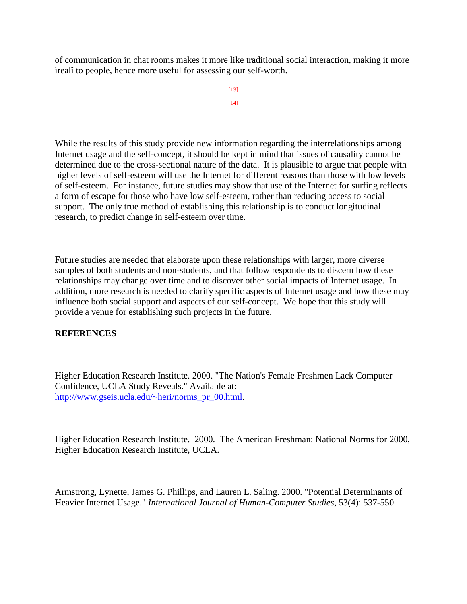of communication in chat rooms makes it more like traditional social interaction, making it more ìrealî to people, hence more useful for assessing our self-worth.

```
[13]
---------------
   [14]
```
While the results of this study provide new information regarding the interrelationships among Internet usage and the self-concept, it should be kept in mind that issues of causality cannot be determined due to the cross-sectional nature of the data. It is plausible to argue that people with higher levels of self-esteem will use the Internet for different reasons than those with low levels of self-esteem. For instance, future studies may show that use of the Internet for surfing reflects a form of escape for those who have low self-esteem, rather than reducing access to social support. The only true method of establishing this relationship is to conduct longitudinal research, to predict change in self-esteem over time.

Future studies are needed that elaborate upon these relationships with larger, more diverse samples of both students and non-students, and that follow respondents to discern how these relationships may change over time and to discover other social impacts of Internet usage. In addition, more research is needed to clarify specific aspects of Internet usage and how these may influence both social support and aspects of our self-concept. We hope that this study will provide a venue for establishing such projects in the future.

#### **REFERENCES**

Higher Education Research Institute. 2000. "The Nation's Female Freshmen Lack Computer Confidence, UCLA Study Reveals." Available at: [http://www.gseis.ucla.edu/~heri/norms\\_pr\\_00.html.](http://www.gseis.ucla.edu/~heri/norms_pr_00.html)

Higher Education Research Institute. 2000. The American Freshman: National Norms for 2000, Higher Education Research Institute, UCLA.

Armstrong, Lynette, James G. Phillips, and Lauren L. Saling. 2000. "Potential Determinants of Heavier Internet Usage." *International Journal of Human-Computer Studies*, 53(4): 537-550.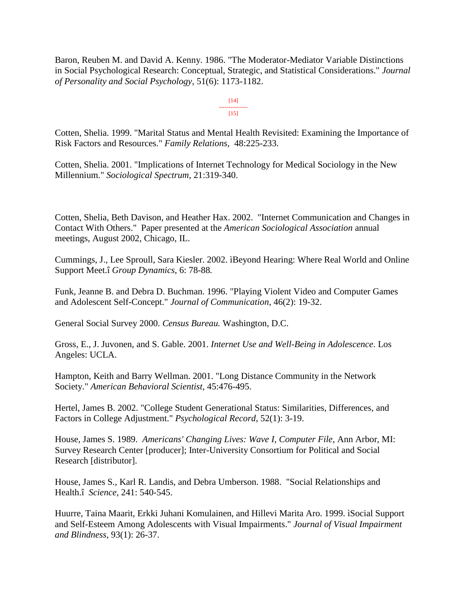Baron, Reuben M. and David A. Kenny. 1986. "The Moderator-Mediator Variable Distinctions in Social Psychological Research: Conceptual, Strategic, and Statistical Considerations." *Journal of Personality and Social Psychology,* 51(6): 1173-1182.

> [14] ---------------  $[15]$

Cotten, Shelia. 1999. "Marital Status and Mental Health Revisited: Examining the Importance of Risk Factors and Resources." *Family Relations*, 48:225-233.

Cotten, Shelia. 2001. "Implications of Internet Technology for Medical Sociology in the New Millennium." *Sociological Spectrum,* 21:319-340.

Cotten, Shelia, Beth Davison, and Heather Hax. 2002. "Internet Communication and Changes in Contact With Others." Paper presented at the *American Sociological Association* annual meetings, August 2002, Chicago, IL.

Cummings, J., Lee Sproull, Sara Kiesler. 2002. ìBeyond Hearing: Where Real World and Online Support Meet.î *Group Dynamics*, 6: 78-88*.*

Funk, Jeanne B. and Debra D. Buchman. 1996. "Playing Violent Video and Computer Games and Adolescent Self-Concept." *Journal of Communication*, 46(2): 19-32.

General Social Survey 2000. *Census Bureau.* Washington, D.C.

Gross, E., J. Juvonen, and S. Gable. 2001. *Internet Use and Well-Being in Adolescence*. Los Angeles: UCLA.

Hampton, Keith and Barry Wellman. 2001. "Long Distance Community in the Network Society." *American Behavioral Scientist,* 45:476-495.

Hertel, James B. 2002. "College Student Generational Status: Similarities, Differences, and Factors in College Adjustment." *Psychological Record*, 52(1): 3-19.

House, James S. 1989. *Americans' Changing Lives: Wave I*, *Computer File*, Ann Arbor, MI: Survey Research Center [producer]; Inter-University Consortium for Political and Social Research [distributor].

House, James S., Karl R. Landis, and Debra Umberson. 1988. "Social Relationships and Health.î *Science*, 241: 540-545.

Huurre, Taina Maarit, Erkki Juhani Komulainen, and Hillevi Marita Aro. 1999. ìSocial Support and Self-Esteem Among Adolescents with Visual Impairments." *Journal of Visual Impairment and Blindness*, 93(1): 26-37.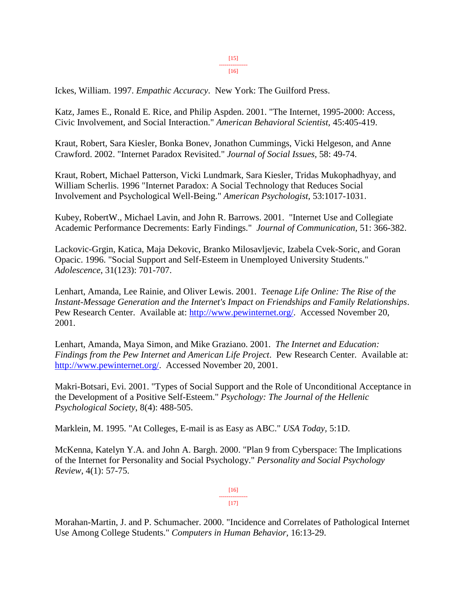[15] ---------------

[16]

Ickes, William. 1997. *Empathic Accuracy*. New York: The Guilford Press.

Katz, James E., Ronald E. Rice, and Philip Aspden. 2001. "The Internet, 1995-2000: Access, Civic Involvement, and Social Interaction." *American Behavioral Scientist,* 45:405-419.

Kraut, Robert, Sara Kiesler, Bonka Bonev, Jonathon Cummings, Vicki Helgeson, and Anne Crawford. 2002. "Internet Paradox Revisited." *Journal of Social Issues,* 58: 49-74.

Kraut, Robert, Michael Patterson, Vicki Lundmark, Sara Kiesler, Tridas Mukophadhyay, and William Scherlis. 1996 "Internet Paradox: A Social Technology that Reduces Social Involvement and Psychological Well-Being." *American Psychologist,* 53:1017-1031.

Kubey, RobertW., Michael Lavin, and John R. Barrows. 2001. "Internet Use and Collegiate Academic Performance Decrements: Early Findings." *Journal of Communication*, 51: 366-382.

Lackovic-Grgin, Katica, Maja Dekovic, Branko Milosavljevic, Izabela Cvek-Soric, and Goran Opacic. 1996. "Social Support and Self-Esteem in Unemployed University Students." *Adolescence*, 31(123): 701-707.

Lenhart, Amanda, Lee Rainie, and Oliver Lewis. 2001. *Teenage Life Online: The Rise of the Instant-Message Generation and the Internet's Impact on Friendships and Family Relationships*. Pew Research Center. Available at: [http://www.pewinternet.org/.](http://www.pewinternet.org/) Accessed November 20, 2001.

Lenhart, Amanda, Maya Simon, and Mike Graziano. 2001. *The Internet and Education: Findings from the Pew Internet and American Life Project*. Pew Research Center. Available at: [http://www.pewinternet.org/.](http://www.pewinternet.org/) Accessed November 20, 2001.

Makri-Botsari, Evi. 2001. "Types of Social Support and the Role of Unconditional Acceptance in the Development of a Positive Self-Esteem." *Psychology: The Journal of the Hellenic Psychological Society*, 8(4): 488-505.

Marklein, M. 1995. "At Colleges, E-mail is as Easy as ABC." *USA Today,* 5:1D.

McKenna, Katelyn Y.A. and John A. Bargh. 2000. "Plan 9 from Cyberspace: The Implications of the Internet for Personality and Social Psychology." *Personality and Social Psychology Review*, 4(1): 57-75.

> [16] ---------------  $[17]$

Morahan-Martin, J. and P. Schumacher. 2000. "Incidence and Correlates of Pathological Internet Use Among College Students." *Computers in Human Behavior,* 16:13-29.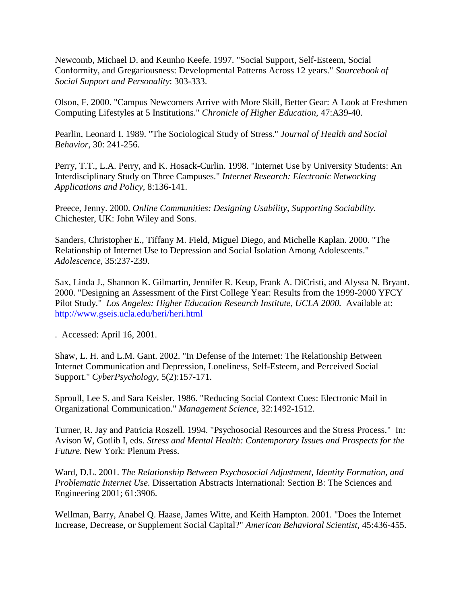Newcomb, Michael D. and Keunho Keefe. 1997. "Social Support, Self-Esteem, Social Conformity, and Gregariousness: Developmental Patterns Across 12 years." *Sourcebook of Social Support and Personality*: 303-333.

Olson, F. 2000. "Campus Newcomers Arrive with More Skill, Better Gear: A Look at Freshmen Computing Lifestyles at 5 Institutions." *Chronicle of Higher Education,* 47:A39-40.

Pearlin, Leonard I. 1989. "The Sociological Study of Stress." *Journal of Health and Social Behavior,* 30: 241-256.

Perry, T.T., L.A. Perry, and K. Hosack-Curlin. 1998. "Internet Use by University Students: An Interdisciplinary Study on Three Campuses." *Internet Research: Electronic Networking Applications and Policy,* 8:136-141.

Preece, Jenny. 2000. *Online Communities: Designing Usability*, *Supporting Sociability.* Chichester, UK: John Wiley and Sons.

Sanders, Christopher E., Tiffany M. Field, Miguel Diego, and Michelle Kaplan. 2000. "The Relationship of Internet Use to Depression and Social Isolation Among Adolescents." *Adolescence,* 35:237-239.

Sax, Linda J., Shannon K. Gilmartin, Jennifer R. Keup, Frank A. DiCristi, and Alyssa N. Bryant. 2000. "Designing an Assessment of the First College Year: Results from the 1999-2000 YFCY Pilot Study." *Los Angeles: Higher Education Research Institute, UCLA 2000.* Available at: <http://www.gseis.ucla.edu/heri/heri.html>

. Accessed: April 16, 2001.

Shaw, L. H. and L.M. Gant. 2002. "In Defense of the Internet: The Relationship Between Internet Communication and Depression, Loneliness, Self-Esteem, and Perceived Social Support." *CyberPsychology*, 5(2):157-171.

Sproull, Lee S. and Sara Keisler. 1986. "Reducing Social Context Cues: Electronic Mail in Organizational Communication." *Management Science,* 32:1492-1512.

Turner, R. Jay and Patricia Roszell. 1994. "Psychosocial Resources and the Stress Process." In: Avison W, Gotlib I, eds. *Stress and Mental Health: Contemporary Issues and Prospects for the Future.* New York: Plenum Press.

Ward, D.L. 2001. *The Relationship Between Psychosocial Adjustment, Identity Formation, and Problematic Internet Use.* Dissertation Abstracts International: Section B: The Sciences and Engineering 2001; 61:3906.

Wellman, Barry, Anabel Q. Haase, James Witte, and Keith Hampton. 2001. "Does the Internet Increase, Decrease, or Supplement Social Capital?" *American Behavioral Scientist,* 45:436-455.